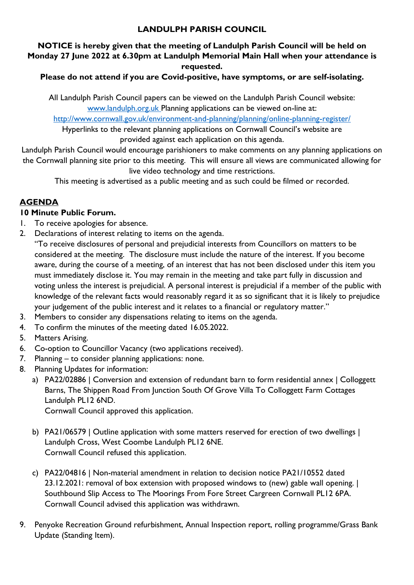### **LANDULPH PARISH COUNCIL**

### **NOTICE is hereby given that the meeting of Landulph Parish Council will be held on Monday 27 June 2022 at 6.30pm at Landulph Memorial Main Hall when your attendance is requested.**

### **Please do not attend if you are Covid-positive, have symptoms, or are self-isolating.**

All Landulph Parish Council papers can be viewed on the Landulph Parish Council website: [www.landulph.org.uk](http://www.landulph.org.uk/) Planning applications can be viewed on-line at:

<http://www.cornwall.gov.uk/environment-and-planning/planning/online-planning-register/>

Hyperlinks to the relevant planning applications on Cornwall Council's website are provided against each application on this agenda.

Landulph Parish Council would encourage parishioners to make comments on any planning applications on the Cornwall planning site prior to this meeting. This will ensure all views are communicated allowing for live video technology and time restrictions.

This meeting is advertised as a public meeting and as such could be filmed or recorded.

# **AGENDA**

#### **10 Minute Public Forum.**

- 1. To receive apologies for absence.
- 2. Declarations of interest relating to items on the agenda.
	- "To receive disclosures of personal and prejudicial interests from Councillors on matters to be considered at the meeting. The disclosure must include the nature of the interest. If you become aware, during the course of a meeting, of an interest that has not been disclosed under this item you must immediately disclose it. You may remain in the meeting and take part fully in discussion and voting unless the interest is prejudicial. A personal interest is prejudicial if a member of the public with knowledge of the relevant facts would reasonably regard it as so significant that it is likely to prejudice your judgement of the public interest and it relates to a financial or regulatory matter."
- 3. Members to consider any dispensations relating to items on the agenda.
- 4. To confirm the minutes of the meeting dated 16.05.2022.
- 5. Matters Arising.
- 6. Co-option to Councillor Vacancy (two applications received).
- 7. Planning to consider planning applications: none.
- 8. Planning Updates for information:
	- a) PA22/02886 | Conversion and extension of redundant barn to form residential annex | Colloggett Barns, The Shippen Road From Junction South Of Grove Villa To Colloggett Farm Cottages Landulph PL12 6ND.

Cornwall Council approved this application.

- b) PA21/06579 | Outline application with some matters reserved for erection of two dwellings | Landulph Cross, West Coombe Landulph PL12 6NE. Cornwall Council refused this application.
- c) PA22/04816 | Non-material amendment in relation to decision notice PA21/10552 dated 23.12.2021: removal of box extension with proposed windows to (new) gable wall opening. | Southbound Slip Access to The Moorings From Fore Street Cargreen Cornwall PL12 6PA. Cornwall Council advised this application was withdrawn.
- 9. Penyoke Recreation Ground refurbishment, Annual Inspection report, rolling programme/Grass Bank Update (Standing Item).